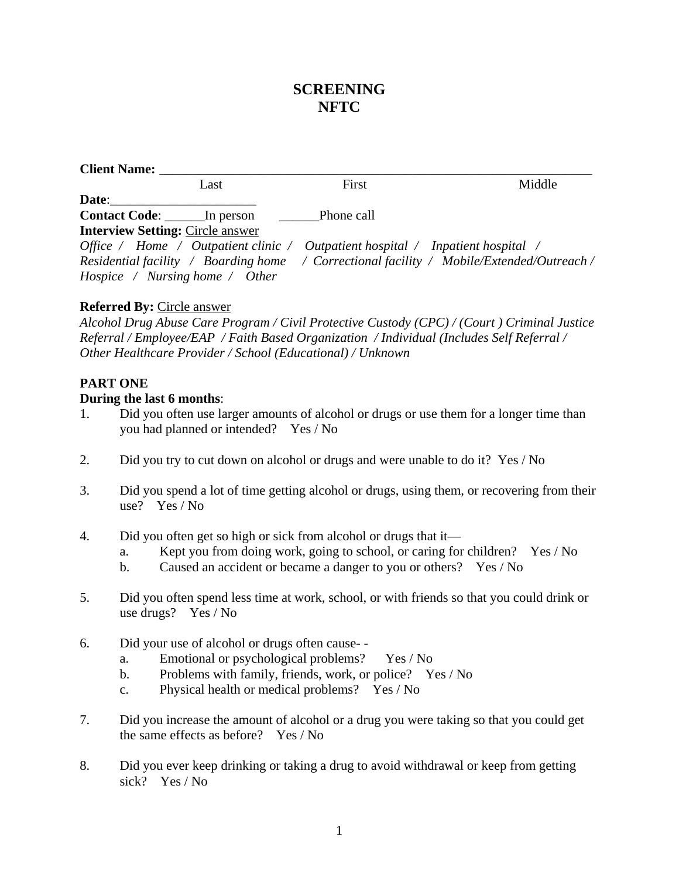# **SCREENING NFTC**

| Client Name: __                         |      |                                                                                |                                                                                           |
|-----------------------------------------|------|--------------------------------------------------------------------------------|-------------------------------------------------------------------------------------------|
|                                         | Last | First                                                                          | Middle                                                                                    |
| Date:                                   |      |                                                                                |                                                                                           |
| <b>Contact Code:</b> In person          |      | <b>Phone call</b>                                                              |                                                                                           |
| <b>Interview Setting: Circle answer</b> |      |                                                                                |                                                                                           |
|                                         |      | Office / Home / Outpatient clinic / Outpatient hospital / Inpatient hospital / |                                                                                           |
|                                         |      |                                                                                | Residential facility / Boarding home / Correctional facility / Mobile/Extended/Outreach / |
| Hospice / Nursing home / Other          |      |                                                                                |                                                                                           |

#### **Referred By:** Circle answer

*Alcohol Drug Abuse Care Program / Civil Protective Custody (CPC) / (Court ) Criminal Justice Referral / Employee/EAP / Faith Based Organization / Individual (Includes Self Referral / Other Healthcare Provider / School (Educational) / Unknown*

### **PART ONE**

#### **During the last 6 months**:

- 1. Did you often use larger amounts of alcohol or drugs or use them for a longer time than you had planned or intended? Yes / No
- 2. Did you try to cut down on alcohol or drugs and were unable to do it? Yes / No
- 3. Did you spend a lot of time getting alcohol or drugs, using them, or recovering from their use? Yes / No
- 4. Did you often get so high or sick from alcohol or drugs that it
	- a. Kept you from doing work, going to school, or caring for children? Yes / No
	- b. Caused an accident or became a danger to you or others? Yes / No
- 5. Did you often spend less time at work, school, or with friends so that you could drink or use drugs? Yes / No
- 6. Did your use of alcohol or drugs often cause-
	- a. Emotional or psychological problems? Yes / No
	- b. Problems with family, friends, work, or police? Yes / No
	- c. Physical health or medical problems? Yes / No
- 7. Did you increase the amount of alcohol or a drug you were taking so that you could get the same effects as before? Yes / No
- 8. Did you ever keep drinking or taking a drug to avoid withdrawal or keep from getting sick? Yes / No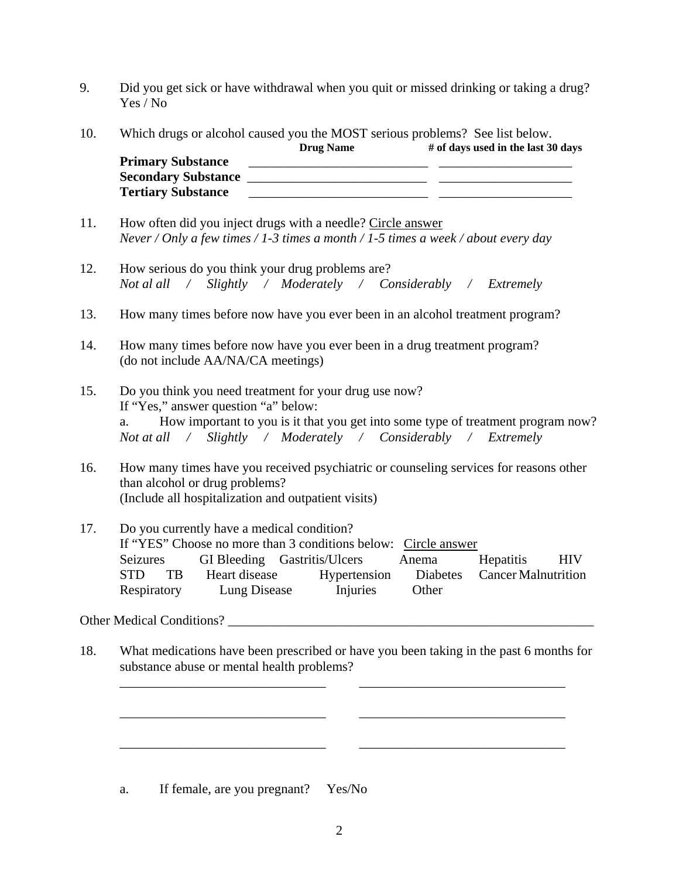- 9. Did you get sick or have withdrawal when you quit or missed drinking or taking a drug? Yes / No
- 10. Which drugs or alcohol caused you the MOST serious problems? See list below.

|                            | <b>Drug Name</b> | # of days used in the last 30 days |
|----------------------------|------------------|------------------------------------|
| <b>Primary Substance</b>   |                  |                                    |
| <b>Secondary Substance</b> |                  |                                    |
| <b>Tertiary Substance</b>  |                  |                                    |

- 11. How often did you inject drugs with a needle? Circle answer *Never / Only a few times / 1-3 times a month / 1-5 times a week / about every day*
- 12. How serious do you think your drug problems are? *Not al all / Slightly / Moderately / Considerably / Extremely*
- 13. How many times before now have you ever been in an alcohol treatment program?
- 14. How many times before now have you ever been in a drug treatment program? (do not include AA/NA/CA meetings)
- 15. Do you think you need treatment for your drug use now? If "Yes," answer question "a" below: a. How important to you is it that you get into some type of treatment program now? *Not at all / Slightly / Moderately / Considerably / Extremely*
- 16. How many times have you received psychiatric or counseling services for reasons other than alcohol or drug problems? (Include all hospitalization and outpatient visits)
- 17. Do you currently have a medical condition? If "YES" Choose no more than 3 conditions below: Circle answer Seizures GI Bleeding Gastritis/Ulcers Anema Hepatitis HIV STD TB Heart disease Hypertension Diabetes Cancer Malnutrition Respiratory Lung Disease Injuries Other

## Other Medical Conditions? \_\_\_\_\_\_\_\_\_\_\_\_\_\_\_\_\_\_\_\_\_\_\_\_\_\_\_\_\_\_\_\_\_\_\_\_\_\_\_\_\_\_\_\_\_\_\_\_\_\_\_\_\_\_\_

18. What medications have been prescribed or have you been taking in the past 6 months for substance abuse or mental health problems?

\_\_\_\_\_\_\_\_\_\_\_\_\_\_\_\_\_\_\_\_\_\_\_\_\_\_\_\_\_\_\_ \_\_\_\_\_\_\_\_\_\_\_\_\_\_\_\_\_\_\_\_\_\_\_\_\_\_\_\_\_\_\_

\_\_\_\_\_\_\_\_\_\_\_\_\_\_\_\_\_\_\_\_\_\_\_\_\_\_\_\_\_\_\_ \_\_\_\_\_\_\_\_\_\_\_\_\_\_\_\_\_\_\_\_\_\_\_\_\_\_\_\_\_\_\_

 $\overline{\phantom{a}}$  ,  $\overline{\phantom{a}}$  ,  $\overline{\phantom{a}}$  ,  $\overline{\phantom{a}}$  ,  $\overline{\phantom{a}}$  ,  $\overline{\phantom{a}}$  ,  $\overline{\phantom{a}}$  ,  $\overline{\phantom{a}}$  ,  $\overline{\phantom{a}}$  ,  $\overline{\phantom{a}}$  ,  $\overline{\phantom{a}}$  ,  $\overline{\phantom{a}}$  ,  $\overline{\phantom{a}}$  ,  $\overline{\phantom{a}}$  ,  $\overline{\phantom{a}}$  ,  $\overline{\phantom{a}}$ 

a. If female, are you pregnant? Yes/No